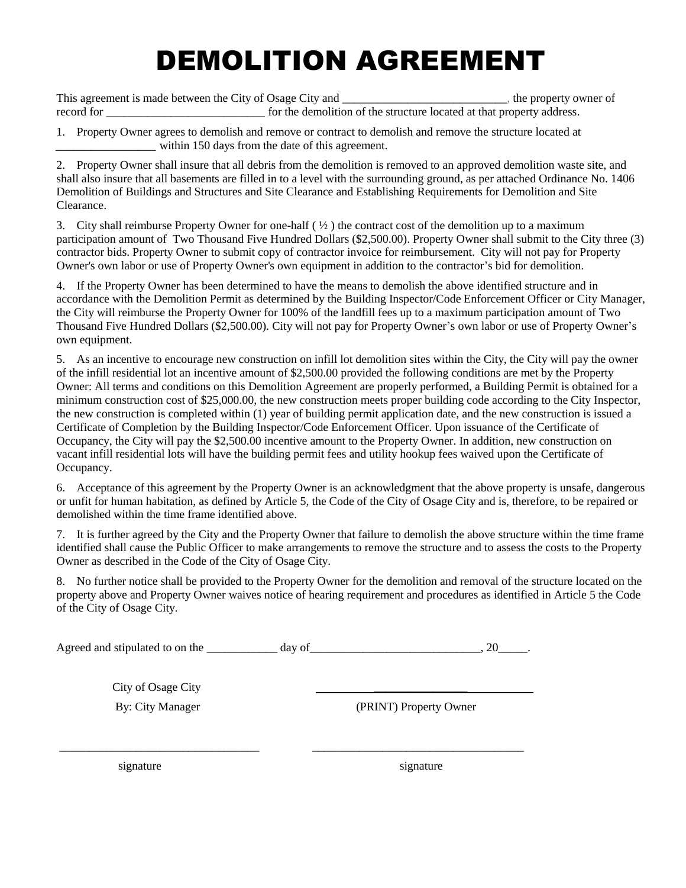## DEMOLITION AGREEMENT

This agreement is made between the City of Osage City and \_\_\_\_\_\_\_\_\_\_\_\_\_\_\_\_\_\_\_\_\_\_\_\_, the property owner of record for the demolition of the structure located at that property address.

1. Property Owner agrees to demolish and remove or contract to demolish and remove the structure located at within 150 days from the date of this agreement.

2. Property Owner shall insure that all debris from the demolition is removed to an approved demolition waste site, and shall also insure that all basements are filled in to a level with the surrounding ground, as per attached Ordinance No. 1406 Demolition of Buildings and Structures and Site Clearance and Establishing Requirements for Demolition and Site Clearance.

3. City shall reimburse Property Owner for one-half  $(\frac{1}{2})$  the contract cost of the demolition up to a maximum participation amount of Two Thousand Five Hundred Dollars (\$2,500.00). Property Owner shall submit to the City three (3) contractor bids. Property Owner to submit copy of contractor invoice for reimbursement. City will not pay for Property Owner's own labor or use of Property Owner's own equipment in addition to the contractor's bid for demolition.

4. If the Property Owner has been determined to have the means to demolish the above identified structure and in accordance with the Demolition Permit as determined by the Building Inspector/Code Enforcement Officer or City Manager, the City will reimburse the Property Owner for 100% of the landfill fees up to a maximum participation amount of Two Thousand Five Hundred Dollars (\$2,500.00). City will not pay for Property Owner's own labor or use of Property Owner's own equipment.

5. As an incentive to encourage new construction on infill lot demolition sites within the City, the City will pay the owner of the infill residential lot an incentive amount of \$2,500.00 provided the following conditions are met by the Property Owner: All terms and conditions on this Demolition Agreement are properly performed, a Building Permit is obtained for a minimum construction cost of \$25,000.00, the new construction meets proper building code according to the City Inspector, the new construction is completed within (1) year of building permit application date, and the new construction is issued a Certificate of Completion by the Building Inspector/Code Enforcement Officer. Upon issuance of the Certificate of Occupancy, the City will pay the \$2,500.00 incentive amount to the Property Owner. In addition, new construction on vacant infill residential lots will have the building permit fees and utility hookup fees waived upon the Certificate of Occupancy.

6. Acceptance of this agreement by the Property Owner is an acknowledgment that the above property is unsafe, dangerous or unfit for human habitation, as defined by Article 5, the Code of the City of Osage City and is, therefore, to be repaired or demolished within the time frame identified above.

7. It is further agreed by the City and the Property Owner that failure to demolish the above structure within the time frame identified shall cause the Public Officer to make arrangements to remove the structure and to assess the costs to the Property Owner as described in the Code of the City of Osage City.

8. No further notice shall be provided to the Property Owner for the demolition and removal of the structure located on the property above and Property Owner waives notice of hearing requirement and procedures as identified in Article 5 the Code of the City of Osage City.

Agreed and stipulated to on the  $\frac{1}{\text{day of}}$  day of  $\frac{1}{\text{day of}}$ 

\_\_\_\_\_\_\_\_\_\_\_\_\_\_\_\_\_\_\_\_\_\_\_\_\_\_\_\_\_\_\_\_\_\_ \_\_\_\_\_\_\_\_\_\_\_\_\_\_\_\_\_\_\_\_\_\_\_\_\_\_\_\_\_\_\_\_\_\_\_\_

City of Osage City *\_\_\_\_\_\_\_\_\_\_\_\_\_\_\_\_* 

By: City Manager (PRINT) Property Owner

signature signature signature